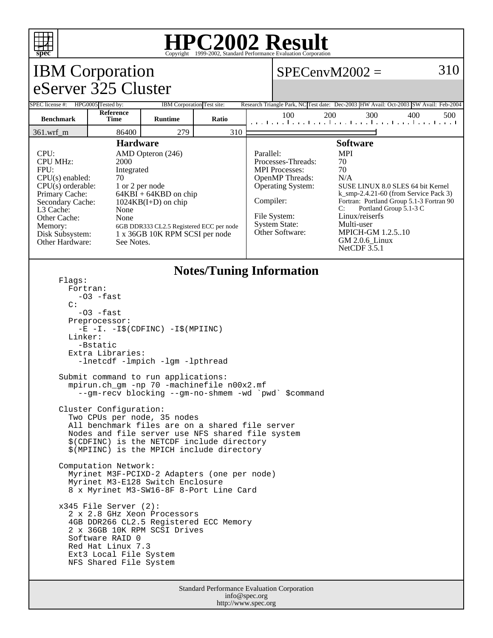

## **HPC2002 Result**

| Copyright @1999 2002, Dumanu I criormance Evanuation Corporation<br>310<br>$SPECenvM2002 =$                                                                                                                                                                                                                                                                                                                                       |                      |                            |              |                        |                                                                                                                                                                                                                                                                                                                                                                                                                                    |                 |                                                                                                    |
|-----------------------------------------------------------------------------------------------------------------------------------------------------------------------------------------------------------------------------------------------------------------------------------------------------------------------------------------------------------------------------------------------------------------------------------|----------------------|----------------------------|--------------|------------------------|------------------------------------------------------------------------------------------------------------------------------------------------------------------------------------------------------------------------------------------------------------------------------------------------------------------------------------------------------------------------------------------------------------------------------------|-----------------|----------------------------------------------------------------------------------------------------|
| <b>IBM</b> Corporation                                                                                                                                                                                                                                                                                                                                                                                                            |                      |                            |              |                        |                                                                                                                                                                                                                                                                                                                                                                                                                                    |                 |                                                                                                    |
| eServer 325 Cluster                                                                                                                                                                                                                                                                                                                                                                                                               |                      |                            |              |                        |                                                                                                                                                                                                                                                                                                                                                                                                                                    |                 |                                                                                                    |
| SPEC license #: HPG0005 Tested by:                                                                                                                                                                                                                                                                                                                                                                                                | Reference            | IBM Corporation Test site: |              |                        | 100                                                                                                                                                                                                                                                                                                                                                                                                                                | 200<br>300      | Research Triangle Park, NC Test date: Dec-2003 HW Avail: Oct-2003 SW Avail: Feb-2004<br>400<br>500 |
| <b>Benchmark</b>                                                                                                                                                                                                                                                                                                                                                                                                                  | <b>Time</b><br>86400 | <b>Runtime</b><br>279      | Ratio<br>310 |                        |                                                                                                                                                                                                                                                                                                                                                                                                                                    |                 | المتما وتواجبوا وتواجدوا وتواجدوا وتواجعوا وتو                                                     |
| 361.wrf_m<br><b>Hardware</b>                                                                                                                                                                                                                                                                                                                                                                                                      |                      |                            |              |                        |                                                                                                                                                                                                                                                                                                                                                                                                                                    | <b>Software</b> |                                                                                                    |
| CPU:<br>AMD Opteron (246)<br><b>CPU MHz:</b><br>2000<br>FPU:<br>Integrated<br>CPU(s) enabled:<br>70<br>$CPU(s)$ orderable:<br>1 or 2 per node<br>Primary Cache:<br>$64KBI + 64KBD$ on chip<br>Secondary Cache:<br>$1024KB(I+D)$ on chip<br>L3 Cache:<br>None<br>Other Cache:<br>None<br>Memory:<br>6GB DDR333 CL2.5 Registered ECC per node<br>Disk Subsystem:<br>1 x 36GB 10K RPM SCSI per node<br>Other Hardware:<br>See Notes. |                      |                            |              | Parallel:<br>Compiler: | <b>MPI</b><br>70<br>Processes-Threads:<br>70<br><b>MPI</b> Processes:<br>OpenMP Threads:<br>N/A<br>Operating System:<br>SUSE LINUX 8.0 SLES 64 bit Kernel<br>$k$ _smp-2.4.21-60 (from Service Pack 3)<br>Fortran: Portland Group 5.1-3 Fortran 90<br>C:<br>Portland Group 5.1-3 C<br>File System:<br>Linux/reiserfs<br><b>System State:</b><br>Multi-user<br>Other Software:<br>MPICH-GM 1.2.510<br>GM 2.0.6 Linux<br>NetCDF 3.5.1 |                 |                                                                                                    |
| <b>Notes/Tuning Information</b><br>Flaqs:<br>Fortran:<br>-03 -fast<br>C:<br>-03 -fast<br>Preprocessor:<br>$-E$ $-I. -I\$ (CDFINC) $-I\$ (MPIINC)<br>Linker:<br>-Bstatic<br>Extra Libraries:<br>-lnetcdf -lmpich -lgm -lpthread                                                                                                                                                                                                    |                      |                            |              |                        |                                                                                                                                                                                                                                                                                                                                                                                                                                    |                 |                                                                                                    |
| Submit command to run applications:<br>mpirun.ch_gm -np 70 -machinefile n00x2.mf<br>--gm-recv blocking --gm-no-shmem -wd `pwd` \$command                                                                                                                                                                                                                                                                                          |                      |                            |              |                        |                                                                                                                                                                                                                                                                                                                                                                                                                                    |                 |                                                                                                    |
| Cluster Configuration:<br>Two CPUs per node, 35 nodes<br>All benchmark files are on a shared file server<br>Nodes and file server use NFS shared file system<br>\$(CDFINC) is the NETCDF include directory<br>\$(MPIINC) is the MPICH include directory                                                                                                                                                                           |                      |                            |              |                        |                                                                                                                                                                                                                                                                                                                                                                                                                                    |                 |                                                                                                    |
| Computation Network:<br>Myrinet M3F-PCIXD-2 Adapters (one per node)<br>Myrinet M3-E128 Switch Enclosure<br>8 x Myrinet M3-SW16-8F 8-Port Line Card                                                                                                                                                                                                                                                                                |                      |                            |              |                        |                                                                                                                                                                                                                                                                                                                                                                                                                                    |                 |                                                                                                    |
| $x345$ File Server $(2)$ :<br>2 x 2.8 GHz Xeon Processors<br>4GB DDR266 CL2.5 Registered ECC Memory<br>2 x 36GB 10K RPM SCSI Drives<br>Software RAID 0<br>Red Hat Linux 7.3<br>Ext3 Local File System<br>NFS Shared File System                                                                                                                                                                                                   |                      |                            |              |                        |                                                                                                                                                                                                                                                                                                                                                                                                                                    |                 |                                                                                                    |
| Standard Performance Evaluation Corporation                                                                                                                                                                                                                                                                                                                                                                                       |                      |                            |              |                        |                                                                                                                                                                                                                                                                                                                                                                                                                                    |                 |                                                                                                    |

info@spec.org http://www.spec.org